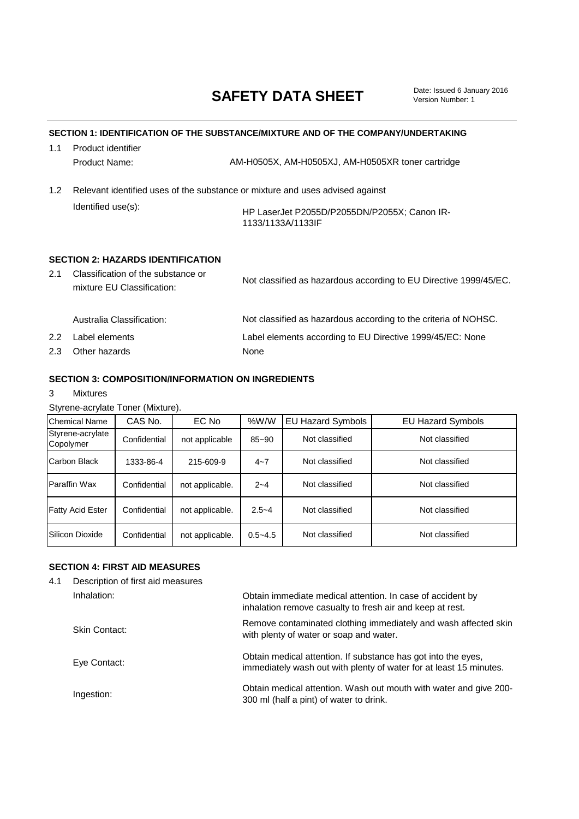# **SAFETY DATA SHEET**

 Date: Issued 6 January 2016 Version Number: 1

### **SECTION 1: IDENTIFICATION OF THE SUBSTANCE/MIXTURE AND OF THE COMPANY/UNDERTAKING**

| 1.1 | Product identifier |                                                                               |
|-----|--------------------|-------------------------------------------------------------------------------|
|     | Product Name:      | AM-H0505X, AM-H0505XJ, AM-H0505XR toner cartridge                             |
| 1.2 |                    | Relevant identified uses of the substance or mixture and uses advised against |
|     | Identified use(s): | HP Laser let P2055D/P2055DN/P2055X: Canon IR-                                 |

HP LaserJet P2055D/P2055DN/P2055X; Canon IR-1133/1133A/1133IF

#### **SECTION 2: HAZARDS IDENTIFICATION**

| 2.1 | Classification of the substance or<br>mixture EU Classification: | Not classified as hazardous according to EU Directive 1999/45/EC. |
|-----|------------------------------------------------------------------|-------------------------------------------------------------------|
|     | Australia Classification:                                        | Not classified as hazardous according to the criteria of NOHSC.   |
| 2.2 | Label elements                                                   | Label elements according to EU Directive 1999/45/EC: None         |
|     | 2.3 Other hazards                                                | None                                                              |

#### **SECTION 3: COMPOSITION/INFORMATION ON INGREDIENTS**

- 3 Mixtures
- Styrene-acrylate Toner (Mixture).

| <b>Chemical Name</b>          | CAS No.      | EC No           | %W/W        | <b>EU Hazard Symbols</b> | <b>EU Hazard Symbols</b> |
|-------------------------------|--------------|-----------------|-------------|--------------------------|--------------------------|
| Styrene-acrylate<br>Copolymer | Confidential | not applicable  | $85 - 90$   | Not classified           | Not classified           |
| Carbon Black                  | 1333-86-4    | 215-609-9       | $4 - 7$     | Not classified           | Not classified           |
| <b>Paraffin Wax</b>           | Confidential | not applicable. | $2 - 4$     | Not classified           | Not classified           |
| <b>Fatty Acid Ester</b>       | Confidential | not applicable. | $2.5 - 4$   | Not classified           | Not classified           |
| Silicon Dioxide               | Confidential | not applicable. | $0.5 - 4.5$ | Not classified           | Not classified           |

## **SECTION 4: FIRST AID MEASURES**

| 4.1 | Description of first aid measures |                                                                                                                                     |
|-----|-----------------------------------|-------------------------------------------------------------------------------------------------------------------------------------|
|     | Inhalation:                       | Obtain immediate medical attention. In case of accident by<br>inhalation remove casualty to fresh air and keep at rest.             |
|     | Skin Contact:                     | Remove contaminated clothing immediately and wash affected skin<br>with plenty of water or soap and water.                          |
|     | Eye Contact:                      | Obtain medical attention. If substance has got into the eyes,<br>immediately wash out with plenty of water for at least 15 minutes. |
|     | Ingestion:                        | Obtain medical attention. Wash out mouth with water and give 200-<br>300 ml (half a pint) of water to drink.                        |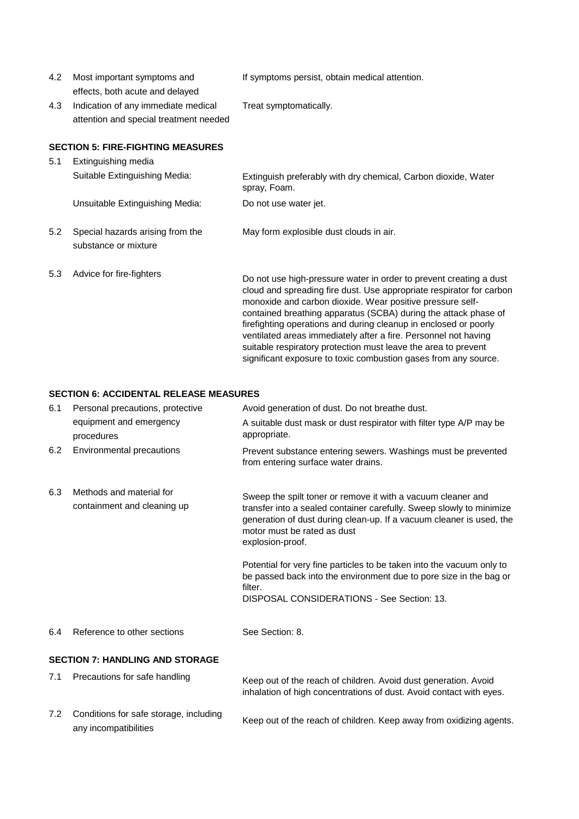| 4.2 | Most important symptoms and<br>effects, both acute and delayed                | If symptoms persist, obtain medical attention.                                                                                                                                                                                                                                                                                                                                                                                                                                                                                                         |
|-----|-------------------------------------------------------------------------------|--------------------------------------------------------------------------------------------------------------------------------------------------------------------------------------------------------------------------------------------------------------------------------------------------------------------------------------------------------------------------------------------------------------------------------------------------------------------------------------------------------------------------------------------------------|
| 4.3 | Indication of any immediate medical<br>attention and special treatment needed | Treat symptomatically.                                                                                                                                                                                                                                                                                                                                                                                                                                                                                                                                 |
|     | <b>SECTION 5: FIRE-FIGHTING MEASURES</b>                                      |                                                                                                                                                                                                                                                                                                                                                                                                                                                                                                                                                        |
| 5.1 | Extinguishing media                                                           |                                                                                                                                                                                                                                                                                                                                                                                                                                                                                                                                                        |
|     | Suitable Extinguishing Media:                                                 | Extinguish preferably with dry chemical, Carbon dioxide, Water<br>spray, Foam.                                                                                                                                                                                                                                                                                                                                                                                                                                                                         |
|     | Unsuitable Extinguishing Media:                                               | Do not use water jet.                                                                                                                                                                                                                                                                                                                                                                                                                                                                                                                                  |
| 5.2 | Special hazards arising from the<br>substance or mixture                      | May form explosible dust clouds in air.                                                                                                                                                                                                                                                                                                                                                                                                                                                                                                                |
| 5.3 | Advice for fire-fighters                                                      | Do not use high-pressure water in order to prevent creating a dust<br>cloud and spreading fire dust. Use appropriate respirator for carbon<br>monoxide and carbon dioxide. Wear positive pressure self-<br>contained breathing apparatus (SCBA) during the attack phase of<br>firefighting operations and during cleanup in enclosed or poorly<br>ventilated areas immediately after a fire. Personnel not having<br>suitable respiratory protection must leave the area to prevent<br>significant exposure to toxic combustion gases from any source. |

#### **SECTION 6: ACCIDENTAL RELEASE MEASURES**

| 6.1 | Personal precautions, protective                        | Avoid generation of dust. Do not breathe dust.                                                                                                                                                                                                                                                                                                                                                                                                                          |
|-----|---------------------------------------------------------|-------------------------------------------------------------------------------------------------------------------------------------------------------------------------------------------------------------------------------------------------------------------------------------------------------------------------------------------------------------------------------------------------------------------------------------------------------------------------|
|     | equipment and emergency<br>procedures                   | A suitable dust mask or dust respirator with filter type A/P may be<br>appropriate.                                                                                                                                                                                                                                                                                                                                                                                     |
| 6.2 | Environmental precautions                               | Prevent substance entering sewers. Washings must be prevented<br>from entering surface water drains.                                                                                                                                                                                                                                                                                                                                                                    |
| 6.3 | Methods and material for<br>containment and cleaning up | Sweep the spilt toner or remove it with a vacuum cleaner and<br>transfer into a sealed container carefully. Sweep slowly to minimize<br>generation of dust during clean-up. If a vacuum cleaner is used, the<br>motor must be rated as dust<br>explosion-proof.<br>Potential for very fine particles to be taken into the vacuum only to<br>be passed back into the environment due to pore size in the bag or<br>filter.<br>DISPOSAL CONSIDERATIONS - See Section: 13. |
| 6.4 | Reference to other sections                             | See Section: 8.                                                                                                                                                                                                                                                                                                                                                                                                                                                         |
|     | <b>SECTION 7: HANDLING AND STORAGE</b>                  |                                                                                                                                                                                                                                                                                                                                                                                                                                                                         |
|     |                                                         |                                                                                                                                                                                                                                                                                                                                                                                                                                                                         |

7.1 Precautions for safe handling 7.2 Conditions for safe storage, including any incompatibilities Keep out of the reach of children. Keep away from oxidizing agents. Keep out of the reach of children. Avoid dust generation. Avoid inhalation of high concentrations of dust. Avoid contact with eyes.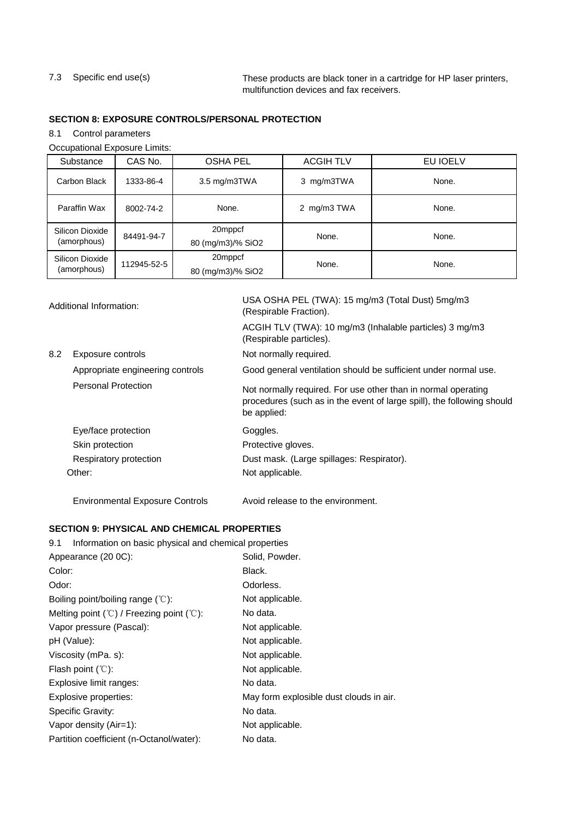# 7.3 Specific end use(s)

These products are black toner in a cartridge for HP laser printers, multifunction devices and fax receivers.

## **SECTION 8: EXPOSURE CONTROLS/PERSONAL PROTECTION**

8.1 Control parameters

## Occupational Exposure Limits:

| Substance                                                                     | CAS No.   | <b>OSHA PEL</b> | <b>ACGIH TLV</b> | <b>EU IOELV</b> |
|-------------------------------------------------------------------------------|-----------|-----------------|------------------|-----------------|
| Carbon Black                                                                  | 1333-86-4 | 3.5 mg/m3TWA    | 3 mg/m3TWA       | None.           |
| Paraffin Wax<br>None.<br>8002-74-2                                            |           | 2 mg/m3 TWA     | None.            |                 |
| 20mppcf<br>Silicon Dioxide<br>84491-94-7<br>(amorphous)<br>80 (mg/m3)/% SiO2  |           | None.           | None.            |                 |
| 20mppcf<br>Silicon Dioxide<br>112945-52-5<br>(amorphous)<br>80 (mg/m3)/% SiO2 |           | None.           | None.            |                 |

| Additional Information: |                                  | USA OSHA PEL (TWA): 15 mg/m3 (Total Dust) 5mg/m3<br>(Respirable Fraction).                                                                             |
|-------------------------|----------------------------------|--------------------------------------------------------------------------------------------------------------------------------------------------------|
|                         |                                  | ACGIH TLV (TWA): 10 mg/m3 (Inhalable particles) 3 mg/m3<br>(Respirable particles).                                                                     |
| 8.2                     | Exposure controls                | Not normally required.                                                                                                                                 |
|                         | Appropriate engineering controls | Good general ventilation should be sufficient under normal use.                                                                                        |
|                         | <b>Personal Protection</b>       | Not normally required. For use other than in normal operating<br>procedures (such as in the event of large spill), the following should<br>be applied: |
|                         | Eye/face protection              | Goggles.                                                                                                                                               |
|                         | Skin protection                  | Protective gloves.                                                                                                                                     |
|                         | Respiratory protection           | Dust mask. (Large spillages: Respirator).                                                                                                              |
| Other:                  |                                  | Not applicable.                                                                                                                                        |
|                         |                                  |                                                                                                                                                        |

Environmental Exposure Controls Avoid release to the environment.

### **SECTION 9: PHYSICAL AND CHEMICAL PROPERTIES**

| Information on basic physical and chemical properties<br>9.1       |                                         |
|--------------------------------------------------------------------|-----------------------------------------|
| Appearance (20 0C):                                                | Solid, Powder.                          |
| Color:                                                             | Black.                                  |
| Odor:                                                              | Odorless.                               |
| Boiling point/boiling range (°C):                                  | Not applicable.                         |
| Melting point $({\mathcal C})$ / Freezing point $({\mathcal C})$ : | No data.                                |
| Vapor pressure (Pascal):                                           | Not applicable.                         |
| pH (Value):                                                        | Not applicable.                         |
| Viscosity (mPa. s):                                                | Not applicable.                         |
| Flash point $(°C)$ :                                               | Not applicable.                         |
| Explosive limit ranges:                                            | No data.                                |
| Explosive properties:                                              | May form explosible dust clouds in air. |
| Specific Gravity:                                                  | No data.                                |
| Vapor density (Air=1):                                             | Not applicable.                         |
| Partition coefficient (n-Octanol/water):                           | No data.                                |
|                                                                    |                                         |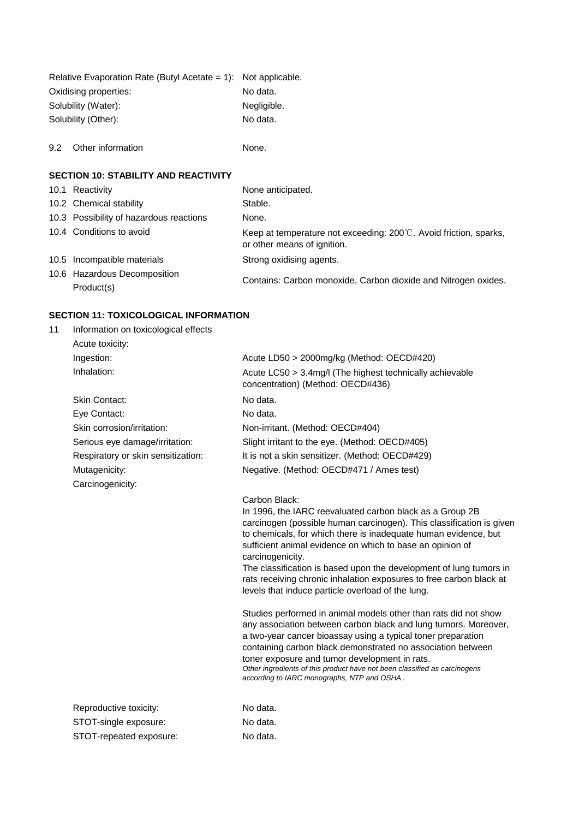| Relative Evaporation Rate (Butyl Acetate = 1): |                                             | Not applicable.                                                                                           |
|------------------------------------------------|---------------------------------------------|-----------------------------------------------------------------------------------------------------------|
| Oxidising properties:                          |                                             | No data.                                                                                                  |
|                                                | Solubility (Water):                         | Negligible.                                                                                               |
|                                                | Solubility (Other):                         | No data.                                                                                                  |
| 9.2                                            | Other information                           | None.                                                                                                     |
|                                                |                                             |                                                                                                           |
|                                                | <b>SECTION 10: STABILITY AND REACTIVITY</b> |                                                                                                           |
|                                                | 10.1 Reactivity                             | None anticipated.                                                                                         |
|                                                | 10.2 Chemical stability                     | Stable.                                                                                                   |
|                                                | 10.3 Possibility of hazardous reactions     | None.                                                                                                     |
|                                                | 10.4 Conditions to avoid                    | Keep at temperature not exceeding: $200^{\circ}$ . Avoid friction, sparks,<br>or other means of ignition. |
|                                                | 10.5 Incompatible materials                 | Strong oxidising agents.                                                                                  |
|                                                | 10.6 Hazardous Decomposition<br>Product(s)  | Contains: Carbon monoxide, Carbon dioxide and Nitrogen oxides.                                            |

# **SECTION 11: TOXICOLOGICAL INFORMATION**

| 11 | Information on toxicological effects |                                                                                                                                                                                                                                                                                                                                                                                                                                                                                                                                                                                                                                                                                                                                                                                                                                                                                                                                                           |
|----|--------------------------------------|-----------------------------------------------------------------------------------------------------------------------------------------------------------------------------------------------------------------------------------------------------------------------------------------------------------------------------------------------------------------------------------------------------------------------------------------------------------------------------------------------------------------------------------------------------------------------------------------------------------------------------------------------------------------------------------------------------------------------------------------------------------------------------------------------------------------------------------------------------------------------------------------------------------------------------------------------------------|
|    | Acute toxicity:                      |                                                                                                                                                                                                                                                                                                                                                                                                                                                                                                                                                                                                                                                                                                                                                                                                                                                                                                                                                           |
|    | Ingestion:                           | Acute LD50 > 2000mg/kg (Method: OECD#420)                                                                                                                                                                                                                                                                                                                                                                                                                                                                                                                                                                                                                                                                                                                                                                                                                                                                                                                 |
|    | Inhalation:                          | Acute LC50 > 3.4mg/l (The highest technically achievable<br>concentration) (Method: OECD#436)                                                                                                                                                                                                                                                                                                                                                                                                                                                                                                                                                                                                                                                                                                                                                                                                                                                             |
|    | <b>Skin Contact:</b>                 | No data.                                                                                                                                                                                                                                                                                                                                                                                                                                                                                                                                                                                                                                                                                                                                                                                                                                                                                                                                                  |
|    | Eye Contact:                         | No data.                                                                                                                                                                                                                                                                                                                                                                                                                                                                                                                                                                                                                                                                                                                                                                                                                                                                                                                                                  |
|    | Skin corrosion/irritation:           | Non-irritant. (Method: OECD#404)                                                                                                                                                                                                                                                                                                                                                                                                                                                                                                                                                                                                                                                                                                                                                                                                                                                                                                                          |
|    | Serious eye damage/irritation:       | Slight irritant to the eye. (Method: OECD#405)                                                                                                                                                                                                                                                                                                                                                                                                                                                                                                                                                                                                                                                                                                                                                                                                                                                                                                            |
|    | Respiratory or skin sensitization:   | It is not a skin sensitizer. (Method: OECD#429)                                                                                                                                                                                                                                                                                                                                                                                                                                                                                                                                                                                                                                                                                                                                                                                                                                                                                                           |
|    | Mutagenicity:                        | Negative. (Method: OECD#471 / Ames test)                                                                                                                                                                                                                                                                                                                                                                                                                                                                                                                                                                                                                                                                                                                                                                                                                                                                                                                  |
|    | Carcinogenicity:                     |                                                                                                                                                                                                                                                                                                                                                                                                                                                                                                                                                                                                                                                                                                                                                                                                                                                                                                                                                           |
|    |                                      | Carbon Black:<br>In 1996, the IARC reevaluated carbon black as a Group 2B<br>carcinogen (possible human carcinogen). This classification is given<br>to chemicals, for which there is inadequate human evidence, but<br>sufficient animal evidence on which to base an opinion of<br>carcinogenicity.<br>The classification is based upon the development of lung tumors in<br>rats receiving chronic inhalation exposures to free carbon black at<br>levels that induce particle overload of the lung.<br>Studies performed in animal models other than rats did not show<br>any association between carbon black and lung tumors. Moreover,<br>a two-year cancer bioassay using a typical toner preparation<br>containing carbon black demonstrated no association between<br>toner exposure and tumor development in rats.<br>Other ingredients of this product have not been classified as carcinogens<br>according to IARC monographs, NTP and OSHA. |
|    | Reproductive toxicity:               | No data.                                                                                                                                                                                                                                                                                                                                                                                                                                                                                                                                                                                                                                                                                                                                                                                                                                                                                                                                                  |
|    | STOT-single exposure:                | No data.                                                                                                                                                                                                                                                                                                                                                                                                                                                                                                                                                                                                                                                                                                                                                                                                                                                                                                                                                  |
|    | STOT-repeated exposure:              | No data.                                                                                                                                                                                                                                                                                                                                                                                                                                                                                                                                                                                                                                                                                                                                                                                                                                                                                                                                                  |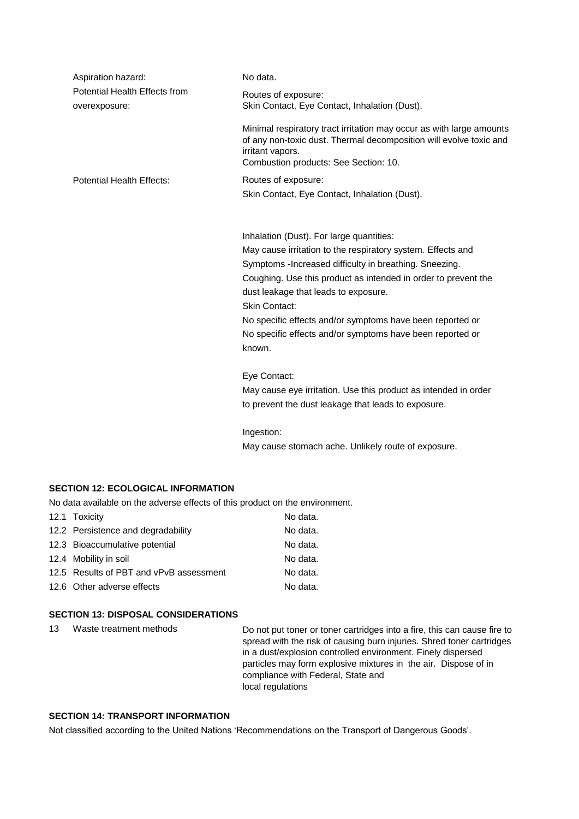|  | Aspiration hazard:                                                           | No data.                                                                                                                                                                                                |
|--|------------------------------------------------------------------------------|---------------------------------------------------------------------------------------------------------------------------------------------------------------------------------------------------------|
|  | <b>Potential Health Effects from</b><br>overexposure:                        | Routes of exposure:<br>Skin Contact, Eye Contact, Inhalation (Dust).                                                                                                                                    |
|  |                                                                              | Minimal respiratory tract irritation may occur as with large amounts<br>of any non-toxic dust. Thermal decomposition will evolve toxic and<br>irritant vapors.<br>Combustion products: See Section: 10. |
|  | <b>Potential Health Effects:</b>                                             | Routes of exposure:                                                                                                                                                                                     |
|  |                                                                              | Skin Contact, Eye Contact, Inhalation (Dust).                                                                                                                                                           |
|  |                                                                              | Inhalation (Dust). For large quantities:                                                                                                                                                                |
|  |                                                                              | May cause irritation to the respiratory system. Effects and                                                                                                                                             |
|  |                                                                              | Symptoms - Increased difficulty in breathing. Sneezing.                                                                                                                                                 |
|  |                                                                              | Coughing. Use this product as intended in order to prevent the                                                                                                                                          |
|  |                                                                              | dust leakage that leads to exposure.                                                                                                                                                                    |
|  |                                                                              | <b>Skin Contact:</b>                                                                                                                                                                                    |
|  |                                                                              | No specific effects and/or symptoms have been reported or                                                                                                                                               |
|  |                                                                              | No specific effects and/or symptoms have been reported or<br>known.                                                                                                                                     |
|  |                                                                              | Eye Contact:                                                                                                                                                                                            |
|  |                                                                              | May cause eye irritation. Use this product as intended in order                                                                                                                                         |
|  |                                                                              | to prevent the dust leakage that leads to exposure.                                                                                                                                                     |
|  |                                                                              | Ingestion:                                                                                                                                                                                              |
|  |                                                                              | May cause stomach ache. Unlikely route of exposure.                                                                                                                                                     |
|  | <b>SECTION 12: ECOLOGICAL INFORMATION</b>                                    |                                                                                                                                                                                                         |
|  | No data available on the adverse effects of this product on the environment. |                                                                                                                                                                                                         |
|  |                                                                              |                                                                                                                                                                                                         |

| 12.1 Toxicity                           | No data. |
|-----------------------------------------|----------|
| 12.2 Persistence and degradability      | No data. |
| 12.3 Bioaccumulative potential          | No data. |
| 12.4 Mobility in soil                   | No data. |
| 12.5 Results of PBT and vPvB assessment | No data. |
| 12.6 Other adverse effects              | No data. |

## **SECTION 13: DISPOSAL CONSIDERATIONS**

13 Waste treatment methods Do not put toner or toner cartridges into a fire, this can cause fire to spread with the risk of causing burn injuries. Shred toner cartridges in a dust/explosion controlled environment. Finely dispersed particles may form explosive mixtures in the air. Dispose of in compliance with Federal, State and local regulations

# **SECTION 14: TRANSPORT INFORMATION**

Not classified according to the United Nations 'Recommendations on the Transport of Dangerous Goods'.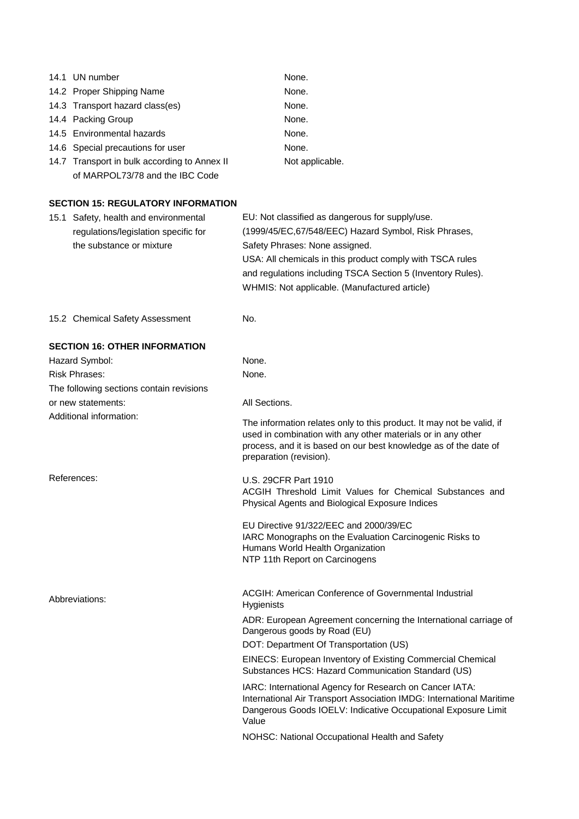|                | 14.1 UN number                                                                  | None.                                                                                                                                                                                                                                |
|----------------|---------------------------------------------------------------------------------|--------------------------------------------------------------------------------------------------------------------------------------------------------------------------------------------------------------------------------------|
|                | 14.2 Proper Shipping Name                                                       | None.                                                                                                                                                                                                                                |
|                | 14.3 Transport hazard class(es)                                                 | None.                                                                                                                                                                                                                                |
|                | 14.4 Packing Group                                                              | None.                                                                                                                                                                                                                                |
|                | 14.5 Environmental hazards                                                      | None.                                                                                                                                                                                                                                |
|                | 14.6 Special precautions for user                                               | None.                                                                                                                                                                                                                                |
|                | 14.7 Transport in bulk according to Annex II<br>of MARPOL73/78 and the IBC Code | Not applicable.                                                                                                                                                                                                                      |
|                | <b>SECTION 15: REGULATORY INFORMATION</b>                                       |                                                                                                                                                                                                                                      |
|                | 15.1 Safety, health and environmental                                           | EU: Not classified as dangerous for supply/use.                                                                                                                                                                                      |
|                | regulations/legislation specific for                                            | (1999/45/EC,67/548/EEC) Hazard Symbol, Risk Phrases,                                                                                                                                                                                 |
|                | the substance or mixture                                                        | Safety Phrases: None assigned.                                                                                                                                                                                                       |
|                |                                                                                 | USA: All chemicals in this product comply with TSCA rules                                                                                                                                                                            |
|                |                                                                                 | and regulations including TSCA Section 5 (Inventory Rules).                                                                                                                                                                          |
|                |                                                                                 | WHMIS: Not applicable. (Manufactured article)                                                                                                                                                                                        |
|                | 15.2 Chemical Safety Assessment                                                 | No.                                                                                                                                                                                                                                  |
|                | <b>SECTION 16: OTHER INFORMATION</b>                                            |                                                                                                                                                                                                                                      |
|                | Hazard Symbol:                                                                  | None.                                                                                                                                                                                                                                |
|                | <b>Risk Phrases:</b>                                                            | None.                                                                                                                                                                                                                                |
|                | The following sections contain revisions                                        |                                                                                                                                                                                                                                      |
|                | or new statements:                                                              | All Sections.                                                                                                                                                                                                                        |
|                | Additional information:                                                         | The information relates only to this product. It may not be valid, if<br>used in combination with any other materials or in any other<br>process, and it is based on our best knowledge as of the date of<br>preparation (revision). |
| References:    |                                                                                 | U.S. 29CFR Part 1910                                                                                                                                                                                                                 |
|                |                                                                                 | ACGIH Threshold Limit Values for Chemical Substances and<br>Physical Agents and Biological Exposure Indices                                                                                                                          |
|                |                                                                                 | EU Directive 91/322/EEC and 2000/39/EC                                                                                                                                                                                               |
|                |                                                                                 | IARC Monographs on the Evaluation Carcinogenic Risks to<br>Humans World Health Organization<br>NTP 11th Report on Carcinogens                                                                                                        |
| Abbreviations: |                                                                                 | ACGIH: American Conference of Governmental Industrial<br><b>Hygienists</b>                                                                                                                                                           |
|                |                                                                                 | ADR: European Agreement concerning the International carriage of<br>Dangerous goods by Road (EU)                                                                                                                                     |
|                |                                                                                 | DOT: Department Of Transportation (US)                                                                                                                                                                                               |
|                |                                                                                 | EINECS: European Inventory of Existing Commercial Chemical<br>Substances HCS: Hazard Communication Standard (US)                                                                                                                     |
|                |                                                                                 | IARC: International Agency for Research on Cancer IATA:<br>International Air Transport Association IMDG: International Maritime<br>Dangerous Goods IOELV: Indicative Occupational Exposure Limit<br>Value                            |
|                |                                                                                 | NOHSC: National Occupational Health and Safety                                                                                                                                                                                       |